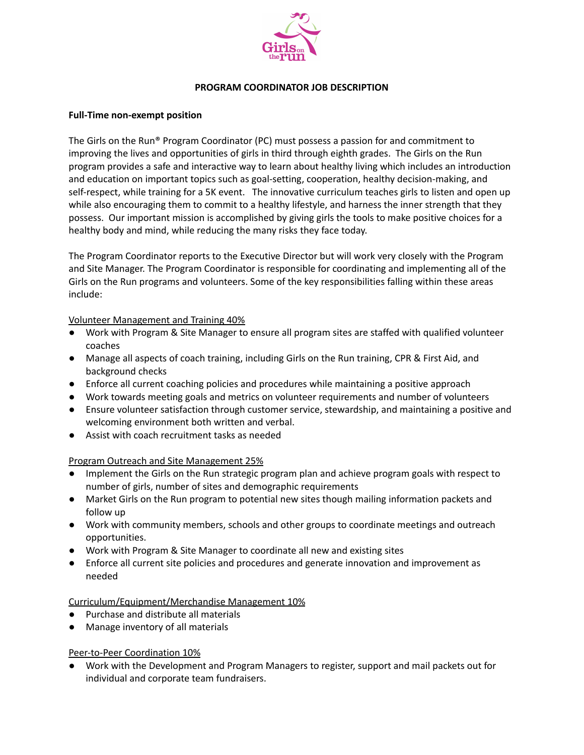

#### **PROGRAM COORDINATOR JOB DESCRIPTION**

#### **Full-Time non-exempt position**

The Girls on the Run® Program Coordinator (PC) must possess a passion for and commitment to improving the lives and opportunities of girls in third through eighth grades. The Girls on the Run program provides a safe and interactive way to learn about healthy living which includes an introduction and education on important topics such as goal-setting, cooperation, healthy decision-making, and self-respect, while training for a 5K event. The innovative curriculum teaches girls to listen and open up while also encouraging them to commit to a healthy lifestyle, and harness the inner strength that they possess. Our important mission is accomplished by giving girls the tools to make positive choices for a healthy body and mind, while reducing the many risks they face today.

The Program Coordinator reports to the Executive Director but will work very closely with the Program and Site Manager. The Program Coordinator is responsible for coordinating and implementing all of the Girls on the Run programs and volunteers. Some of the key responsibilities falling within these areas include:

## Volunteer Management and Training 40%

- Work with Program & Site Manager to ensure all program sites are staffed with qualified volunteer coaches
- Manage all aspects of coach training, including Girls on the Run training, CPR & First Aid, and background checks
- Enforce all current coaching policies and procedures while maintaining a positive approach
- Work towards meeting goals and metrics on volunteer requirements and number of volunteers
- Ensure volunteer satisfaction through customer service, stewardship, and maintaining a positive and welcoming environment both written and verbal.
- Assist with coach recruitment tasks as needed

## Program Outreach and Site Management 25%

- Implement the Girls on the Run strategic program plan and achieve program goals with respect to number of girls, number of sites and demographic requirements
- Market Girls on the Run program to potential new sites though mailing information packets and follow up
- Work with community members, schools and other groups to coordinate meetings and outreach opportunities.
- Work with Program & Site Manager to coordinate all new and existing sites
- Enforce all current site policies and procedures and generate innovation and improvement as needed

## Curriculum/Equipment/Merchandise Management 10%

- Purchase and distribute all materials
- Manage inventory of all materials

## Peer-to-Peer Coordination 10%

● Work with the Development and Program Managers to register, support and mail packets out for individual and corporate team fundraisers.